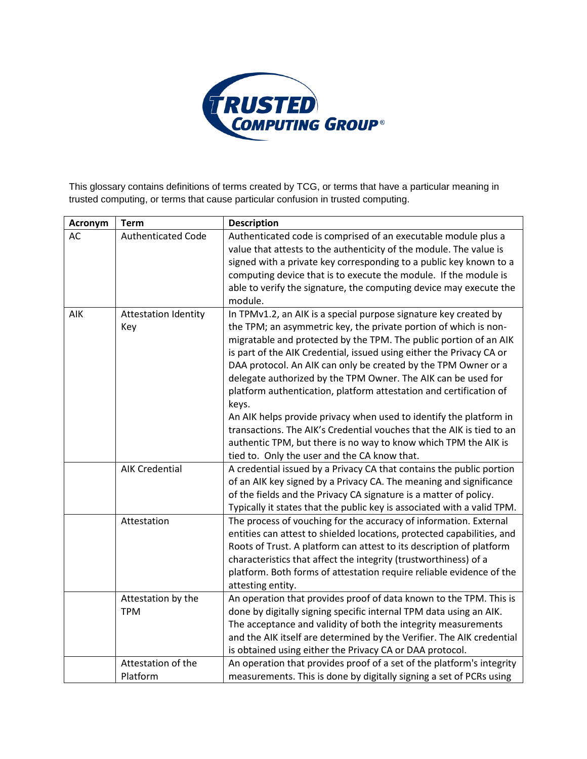

This glossary contains definitions of terms created by TCG, or terms that have a particular meaning in trusted computing, or terms that cause particular confusion in trusted computing.

| Acronym | <b>Term</b>                        | <b>Description</b>                                                                                                                                                                                                                                                                                                                                                                                                                                                                                                                                                                                                                                                                                                                                                    |
|---------|------------------------------------|-----------------------------------------------------------------------------------------------------------------------------------------------------------------------------------------------------------------------------------------------------------------------------------------------------------------------------------------------------------------------------------------------------------------------------------------------------------------------------------------------------------------------------------------------------------------------------------------------------------------------------------------------------------------------------------------------------------------------------------------------------------------------|
| AC      | <b>Authenticated Code</b>          | Authenticated code is comprised of an executable module plus a<br>value that attests to the authenticity of the module. The value is<br>signed with a private key corresponding to a public key known to a<br>computing device that is to execute the module. If the module is<br>able to verify the signature, the computing device may execute the<br>module.                                                                                                                                                                                                                                                                                                                                                                                                       |
| AIK     | <b>Attestation Identity</b><br>Key | In TPMv1.2, an AIK is a special purpose signature key created by<br>the TPM; an asymmetric key, the private portion of which is non-<br>migratable and protected by the TPM. The public portion of an AIK<br>is part of the AIK Credential, issued using either the Privacy CA or<br>DAA protocol. An AIK can only be created by the TPM Owner or a<br>delegate authorized by the TPM Owner. The AIK can be used for<br>platform authentication, platform attestation and certification of<br>keys.<br>An AIK helps provide privacy when used to identify the platform in<br>transactions. The AIK's Credential vouches that the AIK is tied to an<br>authentic TPM, but there is no way to know which TPM the AIK is<br>tied to. Only the user and the CA know that. |
|         | <b>AIK Credential</b>              | A credential issued by a Privacy CA that contains the public portion<br>of an AIK key signed by a Privacy CA. The meaning and significance<br>of the fields and the Privacy CA signature is a matter of policy.<br>Typically it states that the public key is associated with a valid TPM.                                                                                                                                                                                                                                                                                                                                                                                                                                                                            |
|         | Attestation                        | The process of vouching for the accuracy of information. External<br>entities can attest to shielded locations, protected capabilities, and<br>Roots of Trust. A platform can attest to its description of platform<br>characteristics that affect the integrity (trustworthiness) of a<br>platform. Both forms of attestation require reliable evidence of the<br>attesting entity.                                                                                                                                                                                                                                                                                                                                                                                  |
|         | Attestation by the<br><b>TPM</b>   | An operation that provides proof of data known to the TPM. This is<br>done by digitally signing specific internal TPM data using an AIK.<br>The acceptance and validity of both the integrity measurements<br>and the AIK itself are determined by the Verifier. The AIK credential<br>is obtained using either the Privacy CA or DAA protocol.                                                                                                                                                                                                                                                                                                                                                                                                                       |
|         | Attestation of the<br>Platform     | An operation that provides proof of a set of the platform's integrity<br>measurements. This is done by digitally signing a set of PCRs using                                                                                                                                                                                                                                                                                                                                                                                                                                                                                                                                                                                                                          |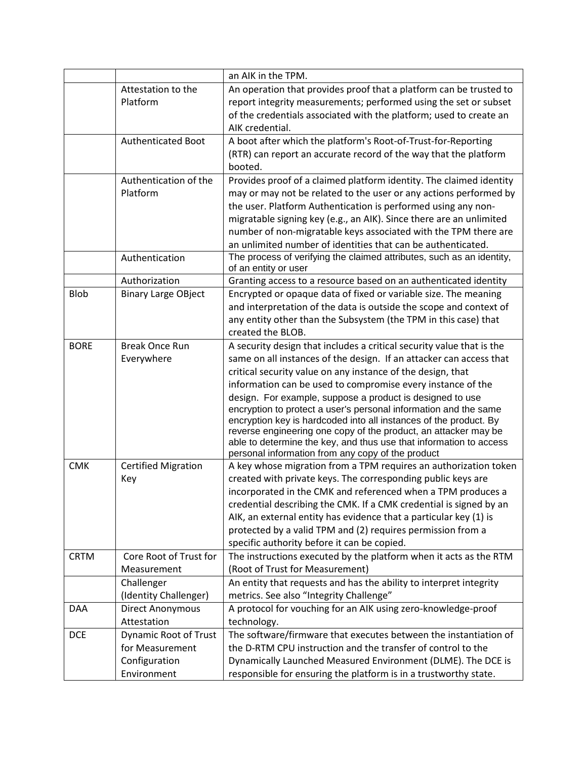|             |                              | an AIK in the TPM.                                                                                                                    |
|-------------|------------------------------|---------------------------------------------------------------------------------------------------------------------------------------|
|             | Attestation to the           | An operation that provides proof that a platform can be trusted to                                                                    |
|             | Platform                     | report integrity measurements; performed using the set or subset                                                                      |
|             |                              | of the credentials associated with the platform; used to create an                                                                    |
|             |                              | AIK credential.                                                                                                                       |
|             | Authenticated Boot           | A boot after which the platform's Root-of-Trust-for-Reporting                                                                         |
|             |                              | (RTR) can report an accurate record of the way that the platform                                                                      |
|             |                              | booted.                                                                                                                               |
|             | Authentication of the        | Provides proof of a claimed platform identity. The claimed identity                                                                   |
|             | Platform                     | may or may not be related to the user or any actions performed by                                                                     |
|             |                              | the user. Platform Authentication is performed using any non-                                                                         |
|             |                              | migratable signing key (e.g., an AIK). Since there are an unlimited                                                                   |
|             |                              | number of non-migratable keys associated with the TPM there are                                                                       |
|             |                              | an unlimited number of identities that can be authenticated.                                                                          |
|             | Authentication               | The process of verifying the claimed attributes, such as an identity,<br>of an entity or user                                         |
|             | Authorization                | Granting access to a resource based on an authenticated identity                                                                      |
| <b>Blob</b> | <b>Binary Large OBject</b>   | Encrypted or opaque data of fixed or variable size. The meaning                                                                       |
|             |                              | and interpretation of the data is outside the scope and context of                                                                    |
|             |                              | any entity other than the Subsystem (the TPM in this case) that                                                                       |
|             |                              | created the BLOB.                                                                                                                     |
| <b>BORE</b> | <b>Break Once Run</b>        | A security design that includes a critical security value that is the                                                                 |
|             | Everywhere                   | same on all instances of the design. If an attacker can access that                                                                   |
|             |                              | critical security value on any instance of the design, that                                                                           |
|             |                              | information can be used to compromise every instance of the                                                                           |
|             |                              | design. For example, suppose a product is designed to use                                                                             |
|             |                              | encryption to protect a user's personal information and the same                                                                      |
|             |                              | encryption key is hardcoded into all instances of the product. By                                                                     |
|             |                              | reverse engineering one copy of the product, an attacker may be<br>able to determine the key, and thus use that information to access |
|             |                              | personal information from any copy of the product                                                                                     |
| <b>CMK</b>  | <b>Certified Migration</b>   | A key whose migration from a TPM requires an authorization token                                                                      |
|             | Key                          | created with private keys. The corresponding public keys are                                                                          |
|             |                              | incorporated in the CMK and referenced when a TPM produces a                                                                          |
|             |                              | credential describing the CMK. If a CMK credential is signed by an                                                                    |
|             |                              | AIK, an external entity has evidence that a particular key (1) is                                                                     |
|             |                              | protected by a valid TPM and (2) requires permission from a                                                                           |
|             |                              | specific authority before it can be copied.                                                                                           |
| <b>CRTM</b> | Core Root of Trust for       | The instructions executed by the platform when it acts as the RTM                                                                     |
|             | Measurement                  | (Root of Trust for Measurement)                                                                                                       |
|             | Challenger                   | An entity that requests and has the ability to interpret integrity                                                                    |
|             | (Identity Challenger)        | metrics. See also "Integrity Challenge"                                                                                               |
| <b>DAA</b>  | <b>Direct Anonymous</b>      | A protocol for vouching for an AIK using zero-knowledge-proof                                                                         |
|             | Attestation                  | technology.                                                                                                                           |
| <b>DCE</b>  | <b>Dynamic Root of Trust</b> | The software/firmware that executes between the instantiation of                                                                      |
|             | for Measurement              | the D-RTM CPU instruction and the transfer of control to the                                                                          |
|             | Configuration                | Dynamically Launched Measured Environment (DLME). The DCE is                                                                          |
|             | Environment                  | responsible for ensuring the platform is in a trustworthy state.                                                                      |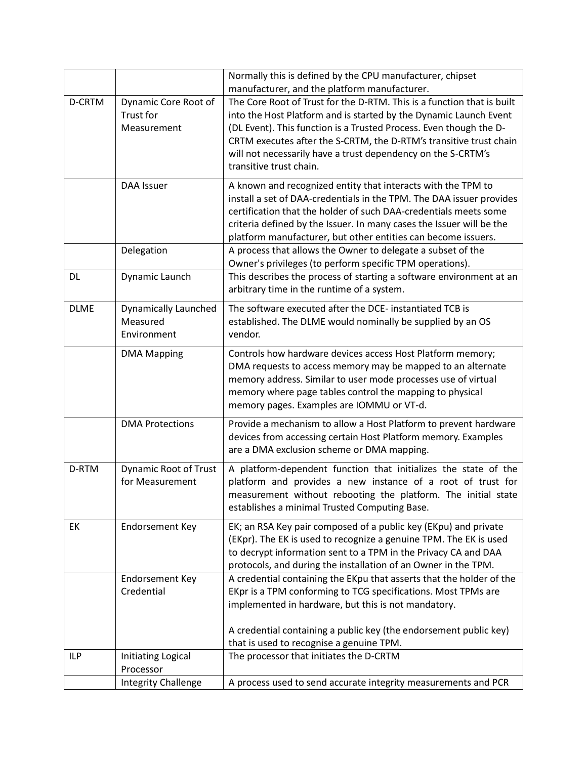|               |                              | Normally this is defined by the CPU manufacturer, chipset                                                                    |
|---------------|------------------------------|------------------------------------------------------------------------------------------------------------------------------|
| <b>D-CRTM</b> | Dynamic Core Root of         | manufacturer, and the platform manufacturer.<br>The Core Root of Trust for the D-RTM. This is a function that is built       |
|               | Trust for                    | into the Host Platform and is started by the Dynamic Launch Event                                                            |
|               | Measurement                  | (DL Event). This function is a Trusted Process. Even though the D-                                                           |
|               |                              | CRTM executes after the S-CRTM, the D-RTM's transitive trust chain                                                           |
|               |                              | will not necessarily have a trust dependency on the S-CRTM's                                                                 |
|               |                              | transitive trust chain.                                                                                                      |
|               |                              |                                                                                                                              |
|               | DAA Issuer                   | A known and recognized entity that interacts with the TPM to                                                                 |
|               |                              | install a set of DAA-credentials in the TPM. The DAA issuer provides                                                         |
|               |                              | certification that the holder of such DAA-credentials meets some                                                             |
|               |                              | criteria defined by the Issuer. In many cases the Issuer will be the                                                         |
|               | Delegation                   | platform manufacturer, but other entities can become issuers.<br>A process that allows the Owner to delegate a subset of the |
|               |                              | Owner's privileges (to perform specific TPM operations).                                                                     |
| DL            | Dynamic Launch               | This describes the process of starting a software environment at an                                                          |
|               |                              | arbitrary time in the runtime of a system.                                                                                   |
|               |                              |                                                                                                                              |
| <b>DLME</b>   | <b>Dynamically Launched</b>  | The software executed after the DCE- instantiated TCB is                                                                     |
|               | Measured                     | established. The DLME would nominally be supplied by an OS<br>vendor.                                                        |
|               | Environment                  |                                                                                                                              |
|               | <b>DMA Mapping</b>           | Controls how hardware devices access Host Platform memory;                                                                   |
|               |                              | DMA requests to access memory may be mapped to an alternate                                                                  |
|               |                              | memory address. Similar to user mode processes use of virtual                                                                |
|               |                              | memory where page tables control the mapping to physical                                                                     |
|               |                              | memory pages. Examples are IOMMU or VT-d.                                                                                    |
|               | <b>DMA Protections</b>       | Provide a mechanism to allow a Host Platform to prevent hardware                                                             |
|               |                              | devices from accessing certain Host Platform memory. Examples                                                                |
|               |                              | are a DMA exclusion scheme or DMA mapping.                                                                                   |
| D-RTM         | <b>Dynamic Root of Trust</b> | A platform-dependent function that initializes the state of the                                                              |
|               | for Measurement              | platform and provides a new instance of a root of trust for                                                                  |
|               |                              | measurement without rebooting the platform. The initial state                                                                |
|               |                              | establishes a minimal Trusted Computing Base.                                                                                |
| EK            | <b>Endorsement Key</b>       | EK; an RSA Key pair composed of a public key (EKpu) and private                                                              |
|               |                              | (EKpr). The EK is used to recognize a genuine TPM. The EK is used                                                            |
|               |                              | to decrypt information sent to a TPM in the Privacy CA and DAA                                                               |
|               |                              | protocols, and during the installation of an Owner in the TPM.                                                               |
|               | <b>Endorsement Key</b>       | A credential containing the EKpu that asserts that the holder of the                                                         |
|               | Credential                   | EKpr is a TPM conforming to TCG specifications. Most TPMs are                                                                |
|               |                              | implemented in hardware, but this is not mandatory.                                                                          |
|               |                              |                                                                                                                              |
|               |                              | A credential containing a public key (the endorsement public key)                                                            |
|               |                              | that is used to recognise a genuine TPM.                                                                                     |
| ILP           | Initiating Logical           | The processor that initiates the D-CRTM                                                                                      |
|               | Processor                    |                                                                                                                              |
|               | <b>Integrity Challenge</b>   | A process used to send accurate integrity measurements and PCR                                                               |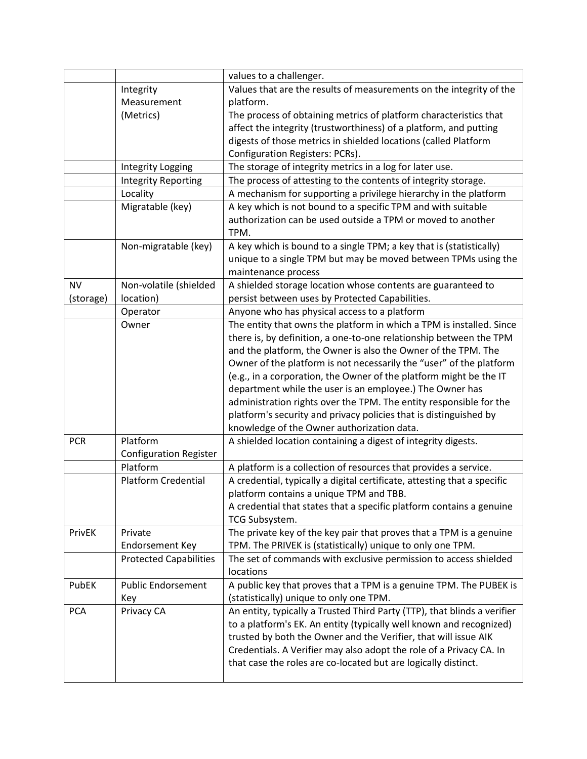|            |                               | values to a challenger.                                                  |
|------------|-------------------------------|--------------------------------------------------------------------------|
|            | Integrity                     | Values that are the results of measurements on the integrity of the      |
|            | Measurement                   | platform.                                                                |
|            | (Metrics)                     | The process of obtaining metrics of platform characteristics that        |
|            |                               | affect the integrity (trustworthiness) of a platform, and putting        |
|            |                               | digests of those metrics in shielded locations (called Platform          |
|            |                               | Configuration Registers: PCRs).                                          |
|            | Integrity Logging             | The storage of integrity metrics in a log for later use.                 |
|            | <b>Integrity Reporting</b>    | The process of attesting to the contents of integrity storage.           |
|            | Locality                      | A mechanism for supporting a privilege hierarchy in the platform         |
|            | Migratable (key)              | A key which is not bound to a specific TPM and with suitable             |
|            |                               | authorization can be used outside a TPM or moved to another              |
|            |                               | TPM.                                                                     |
|            | Non-migratable (key)          | A key which is bound to a single TPM; a key that is (statistically)      |
|            |                               | unique to a single TPM but may be moved between TPMs using the           |
|            |                               | maintenance process                                                      |
| <b>NV</b>  | Non-volatile (shielded        | A shielded storage location whose contents are guaranteed to             |
| (storage)  | location)                     | persist between uses by Protected Capabilities.                          |
|            | Operator                      | Anyone who has physical access to a platform                             |
|            | Owner                         | The entity that owns the platform in which a TPM is installed. Since     |
|            |                               | there is, by definition, a one-to-one relationship between the TPM       |
|            |                               | and the platform, the Owner is also the Owner of the TPM. The            |
|            |                               | Owner of the platform is not necessarily the "user" of the platform      |
|            |                               | (e.g., in a corporation, the Owner of the platform might be the IT       |
|            |                               | department while the user is an employee.) The Owner has                 |
|            |                               | administration rights over the TPM. The entity responsible for the       |
|            |                               | platform's security and privacy policies that is distinguished by        |
|            |                               | knowledge of the Owner authorization data.                               |
| <b>PCR</b> | Platform                      | A shielded location containing a digest of integrity digests.            |
|            | <b>Configuration Register</b> |                                                                          |
|            | Platform                      | A platform is a collection of resources that provides a service.         |
|            | <b>Platform Credential</b>    | A credential, typically a digital certificate, attesting that a specific |
|            |                               | platform contains a unique TPM and TBB.                                  |
|            |                               |                                                                          |
|            |                               | A credential that states that a specific platform contains a genuine     |
|            |                               | TCG Subsystem.                                                           |
| PrivEK     | Private                       | The private key of the key pair that proves that a TPM is a genuine      |
|            | <b>Endorsement Key</b>        | TPM. The PRIVEK is (statistically) unique to only one TPM.               |
|            | <b>Protected Capabilities</b> | The set of commands with exclusive permission to access shielded         |
|            |                               | locations                                                                |
| PubEK      | <b>Public Endorsement</b>     | A public key that proves that a TPM is a genuine TPM. The PUBEK is       |
|            | Key                           | (statistically) unique to only one TPM.                                  |
| <b>PCA</b> | Privacy CA                    | An entity, typically a Trusted Third Party (TTP), that blinds a verifier |
|            |                               | to a platform's EK. An entity (typically well known and recognized)      |
|            |                               | trusted by both the Owner and the Verifier, that will issue AIK          |
|            |                               | Credentials. A Verifier may also adopt the role of a Privacy CA. In      |
|            |                               | that case the roles are co-located but are logically distinct.           |
|            |                               |                                                                          |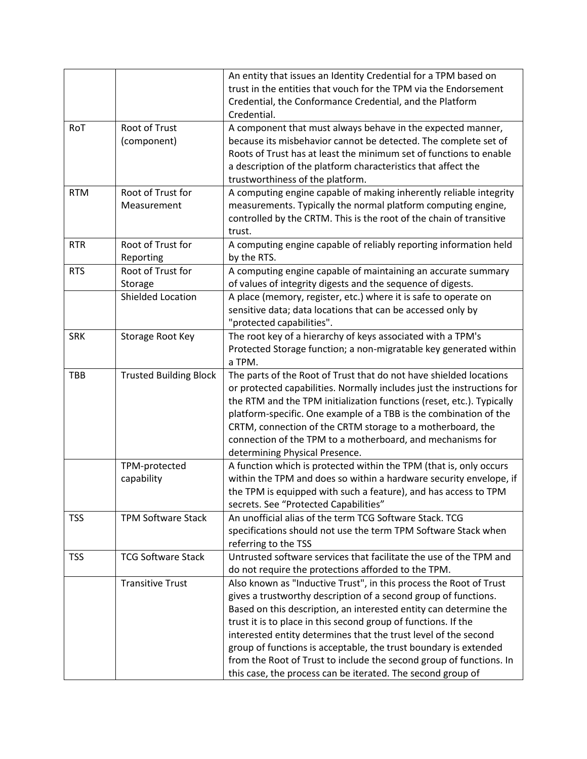|            |                                     | An entity that issues an Identity Credential for a TPM based on<br>trust in the entities that vouch for the TPM via the Endorsement<br>Credential, the Conformance Credential, and the Platform<br>Credential.                                                                                                                                                                                                                                                                                                                                            |
|------------|-------------------------------------|-----------------------------------------------------------------------------------------------------------------------------------------------------------------------------------------------------------------------------------------------------------------------------------------------------------------------------------------------------------------------------------------------------------------------------------------------------------------------------------------------------------------------------------------------------------|
| RoT        | <b>Root of Trust</b><br>(component) | A component that must always behave in the expected manner,<br>because its misbehavior cannot be detected. The complete set of<br>Roots of Trust has at least the minimum set of functions to enable<br>a description of the platform characteristics that affect the<br>trustworthiness of the platform.                                                                                                                                                                                                                                                 |
| <b>RTM</b> | Root of Trust for<br>Measurement    | A computing engine capable of making inherently reliable integrity<br>measurements. Typically the normal platform computing engine,<br>controlled by the CRTM. This is the root of the chain of transitive<br>trust.                                                                                                                                                                                                                                                                                                                                      |
| <b>RTR</b> | Root of Trust for<br>Reporting      | A computing engine capable of reliably reporting information held<br>by the RTS.                                                                                                                                                                                                                                                                                                                                                                                                                                                                          |
| <b>RTS</b> | Root of Trust for<br>Storage        | A computing engine capable of maintaining an accurate summary<br>of values of integrity digests and the sequence of digests.                                                                                                                                                                                                                                                                                                                                                                                                                              |
|            | Shielded Location                   | A place (memory, register, etc.) where it is safe to operate on<br>sensitive data; data locations that can be accessed only by<br>"protected capabilities".                                                                                                                                                                                                                                                                                                                                                                                               |
| <b>SRK</b> | Storage Root Key                    | The root key of a hierarchy of keys associated with a TPM's<br>Protected Storage function; a non-migratable key generated within<br>a TPM.                                                                                                                                                                                                                                                                                                                                                                                                                |
| TBB        | <b>Trusted Building Block</b>       | The parts of the Root of Trust that do not have shielded locations<br>or protected capabilities. Normally includes just the instructions for<br>the RTM and the TPM initialization functions (reset, etc.). Typically<br>platform-specific. One example of a TBB is the combination of the<br>CRTM, connection of the CRTM storage to a motherboard, the<br>connection of the TPM to a motherboard, and mechanisms for<br>determining Physical Presence.                                                                                                  |
|            | TPM-protected<br>capability         | A function which is protected within the TPM (that is, only occurs<br>within the TPM and does so within a hardware security envelope, if<br>the TPM is equipped with such a feature), and has access to TPM<br>secrets. See "Protected Capabilities"                                                                                                                                                                                                                                                                                                      |
| <b>TSS</b> | <b>TPM Software Stack</b>           | An unofficial alias of the term TCG Software Stack. TCG<br>specifications should not use the term TPM Software Stack when<br>referring to the TSS                                                                                                                                                                                                                                                                                                                                                                                                         |
| <b>TSS</b> | <b>TCG Software Stack</b>           | Untrusted software services that facilitate the use of the TPM and<br>do not require the protections afforded to the TPM.                                                                                                                                                                                                                                                                                                                                                                                                                                 |
|            | <b>Transitive Trust</b>             | Also known as "Inductive Trust", in this process the Root of Trust<br>gives a trustworthy description of a second group of functions.<br>Based on this description, an interested entity can determine the<br>trust it is to place in this second group of functions. If the<br>interested entity determines that the trust level of the second<br>group of functions is acceptable, the trust boundary is extended<br>from the Root of Trust to include the second group of functions. In<br>this case, the process can be iterated. The second group of |